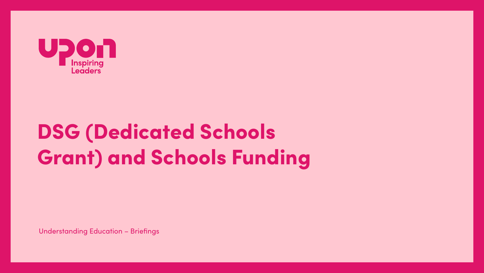

# **DSG (Dedicated Schools Grant) and Schools Funding**

**Understanding Education - Briefings**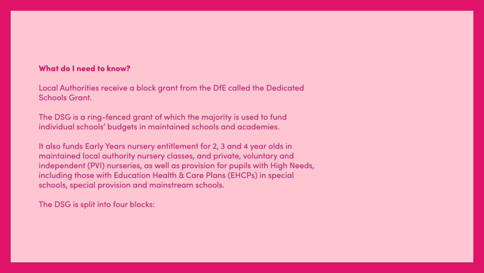## What do I need to know?

Local Authorities receive a block grant from the DfE called the Dedicated Schools Grant.

The DSG is a ring-fenced grant of which the majority is used to fund individual schools' budgets in maintained schools and academies.

It also funds Early Years nursery entitlement for 2, 3 and 4 year olds in maintained local authority nursery classes, and private, voluntary and independent (PVI) nurseries, as well as provision for pupils with High Needs, including those with Education Health & Care Plans (EHCPs) in special schools, special provision and mainstream schools.

The DSG is split into four blocks: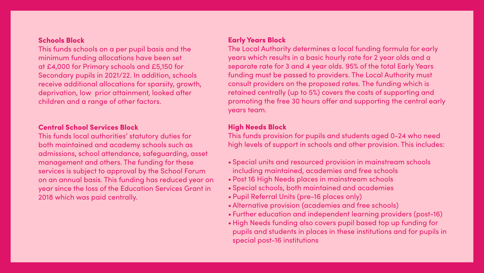## Schools Block

This funds schools on a per pupil basis and the minimum funding allocations have been set at £4,000 for Primary schools and £5,150 for Secondary pupils in 2021/22. In addition, schools receive additional allocations for sparsity, growth, deprivation, low prior attainment, looked after children and a range of other factors.

## Central School Services Block

This funds local authorities' statutory duties for both maintained and academy schools such as admissions, school attendance, safeguarding, asset management and others. The funding for these services is subject to approval by the School Forum on an annual basis. This funding has reduced year on year since the loss of the Education Services Grant in 2018 which was paid centrally.

## Early Years Block

The Local Authority determines a local funding formula for early years which results in a basic hourly rate for 2 year olds and a separate rate for 3 and 4 year olds. 95% of the total Early Years funding must be passed to providers. The Local Authority must consult providers on the proposed rates. The funding which is retained centrally (up to 5%) covers the costs of supporting and promoting the free 30 hours offer and supporting the central early years team.

## High Needs Block

This funds provision for pupils and students aged 0-24 who need high levels of support in schools and other provision. This includes:

- Special units and resourced provision in mainstream schools including maintained, academies and free schools
- Post 16 High Needs places in mainstream schools
- Special schools, both maintained and academies
- Pupil Referral Units (pre-16 places only)
- Alternative provision (academies and free schools)
- Further education and independent learning providers (post-16)
- High Needs funding also covers pupil based top up funding for pupils and students in places in these institutions and for pupils in special post-16 institutions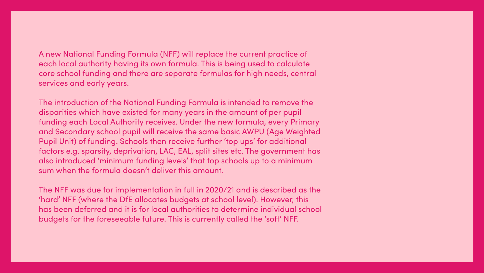## A new National Funding Formula (NFF) will replace the current practice of each local authority having its own formula. This is being used to calculate

core school funding and there are separate formulas for high needs, central services and early years.

The introduction of the National Funding Formula is intended to remove the disparities which have existed for many years in the amount of per pupil funding each Local Authority receives. Under the new formula, every Primary and Secondary school pupil will receive the same basic AWPU (Age Weighted Pupil Unit) of funding. Schools then receive further 'top ups' for additional factors e.g. sparsity, deprivation, LAC, EAL, split sites etc. The government has also introduced 'minimum funding levels' that top schools up to a minimum sum when the formula doesn't deliver this amount.

The NFF was due for implementation in full in 2020/21 and is described as the 'hard' NFF (where the DfE allocates budgets at school level). However, this has been deferred and it is for local authorities to determine individual school budgets for the foreseeable future. This is currently called the 'soft' NFF.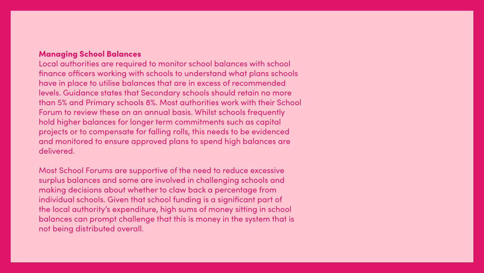## **Managing School Balances**

Local authorities are required to monitor school balances with school finance officers working with schools to understand what plans schools have in place to utilise balances that are in excess of recommended levels. Guidance states that Secondary schools should retain no more than 5% and Primary schools 8%. Most authorities work with their School Forum to review these on an annual basis. Whilst schools frequently hold higher balances for longer term commitments such as capital projects or to compensate for falling rolls, this needs to be evidenced and monitored to ensure approved plans to spend high balances are delivered.

Most School Forums are supportive of the need to reduce excessive surplus balances and some are involved in challenging schools and making decisions about whether to claw back a percentage from individual schools. Given that school funding is a significant part of the local authority's expenditure, high sums of money sitting in school balances can prompt challenge that this is money in the system that is not being distributed overall.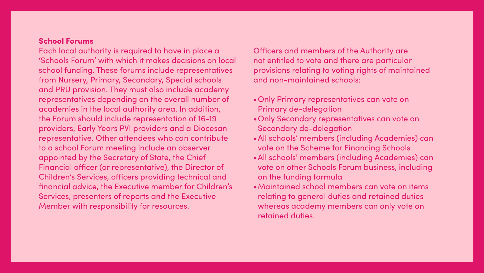## School Forums

Each local authority is required to have in place a 'Schools Forum' with which it makes decisions on local school funding. These forums include representatives from Nursery, Primary, Secondary, Special schools and PRU provision. They must also include academy representatives depending on the overall number of academies in the local authority area. In addition, the Forum should include representation of 16-19 providers, Early Years PVI providers and a Diocesan representative. Other attendees who can contribute to a school Forum meeting include an observer appointed by the Secretary of State, the Chief Financial officer (or representative), the Director of Children's Services, officers providing technical and financial advice, the Executive member for Children's Services, presenters of reports and the Executive Member with responsibility for resources.

Officers and members of the Authority are not entitled to vote and there are particular provisions relating to voting rights of maintained and non-maintained schools:

- •Only Primary representatives can vote on Primary de-delegation
- •Only Secondary representatives can vote on Secondary de-delegation
- •All schools' members (including Academies) can vote on the Scheme for Financing Schools
- •All schools' members (including Academies) can vote on other Schools Forum business, including on the funding formula
- •Maintained school members can vote on items relating to general duties and retained duties whereas academy members can only vote on retained duties.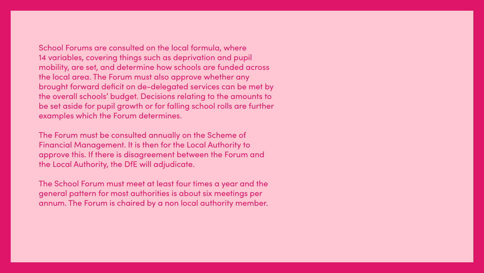School Forums are consulted on the local formula, where 14 variables, covering things such as deprivation and pupil mobility, are set, and determine how schools are funded across the local area. The Forum must also approve whether any brought forward deficit on de-delegated services can be met by the overall schools' budget. Decisions relating to the amounts to be set aside for pupil growth or for falling school rolls are further examples which the Forum determines.

The Forum must be consulted annually on the Scheme of Financial Management. It is then for the Local Authority to approve this. If there is disagreement between the Forum and the Local Authority, the DfE will adjudicate.

The School Forum must meet at least four times a year and the general pattern for most authorities is about six meetings per annum. The Forum is chaired by a non local authority member.